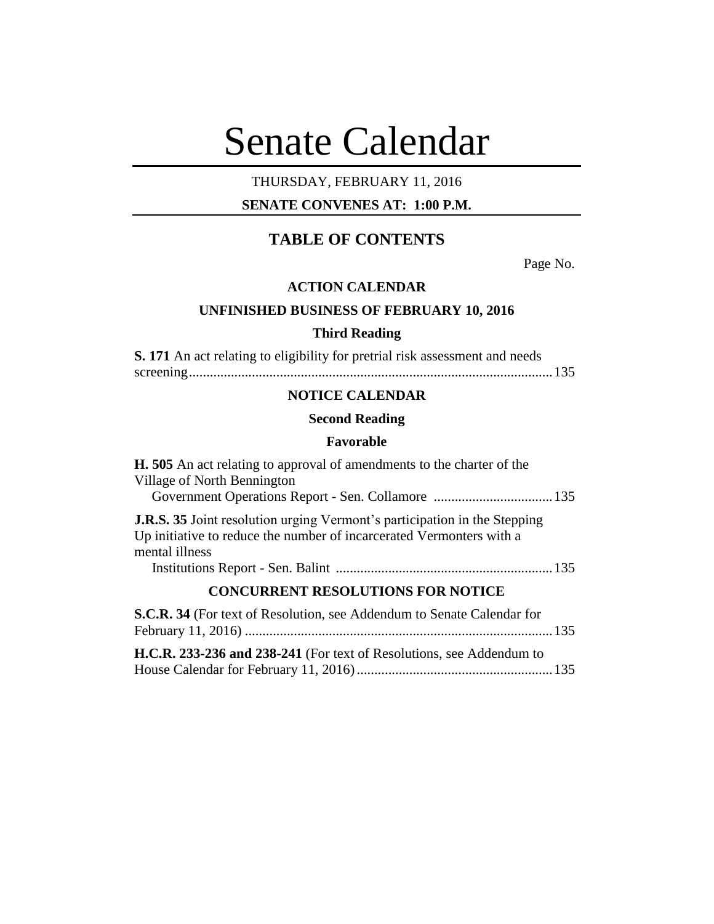# Senate Calendar

## THURSDAY, FEBRUARY 11, 2016

## **SENATE CONVENES AT: 1:00 P.M.**

# **TABLE OF CONTENTS**

Page No.

## **ACTION CALENDAR**

## **UNFINISHED BUSINESS OF FEBRUARY 10, 2016**

## **Third Reading**

**S. 171** An act relating to eligibility for pretrial risk assessment and needs screening........................................................................................................135

## **NOTICE CALENDAR**

## **Second Reading**

#### **Favorable**

| <b>H.</b> 505 An act relating to approval of amendments to the charter of the<br>Village of North Bennington                                                               |  |
|----------------------------------------------------------------------------------------------------------------------------------------------------------------------------|--|
| <b>J.R.S. 35</b> Joint resolution urging Vermont's participation in the Stepping<br>Up initiative to reduce the number of incarcerated Vermonters with a<br>mental illness |  |
|                                                                                                                                                                            |  |
| <b>CONCURRENT RESOLUTIONS FOR NOTICE</b>                                                                                                                                   |  |
| S.C.R. 34 (For text of Resolution, see Addendum to Senate Calendar for                                                                                                     |  |
| H.C.R. 233-236 and 238-241 (For text of Resolutions, see Addendum to                                                                                                       |  |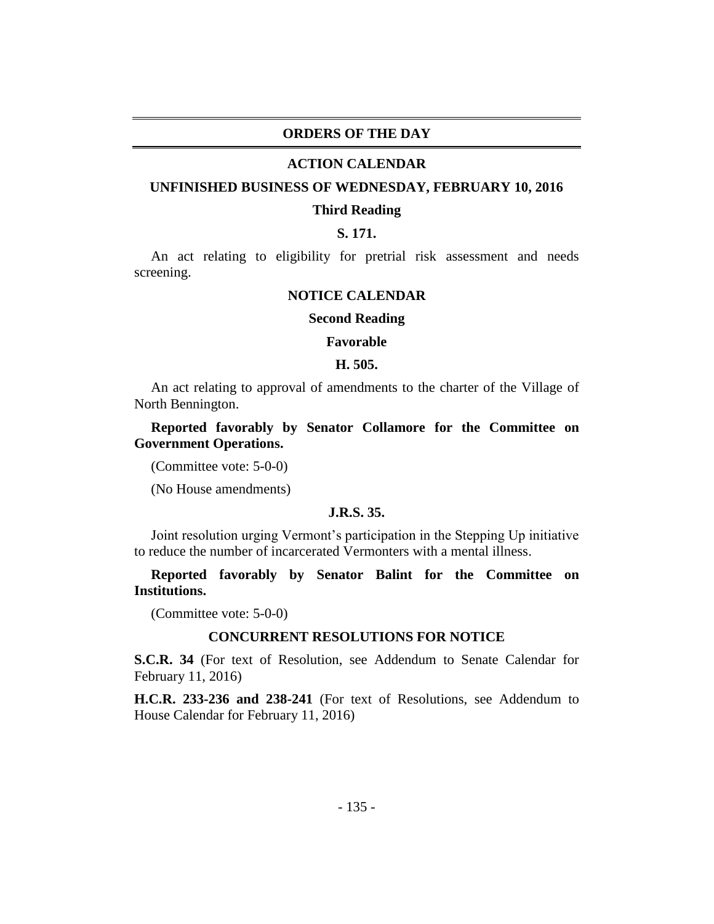## **ORDERS OF THE DAY**

#### **ACTION CALENDAR**

#### **UNFINISHED BUSINESS OF WEDNESDAY, FEBRUARY 10, 2016**

#### **Third Reading**

## **S. 171.**

An act relating to eligibility for pretrial risk assessment and needs screening.

## **NOTICE CALENDAR**

#### **Second Reading**

#### **Favorable**

### **H. 505.**

An act relating to approval of amendments to the charter of the Village of North Bennington.

**Reported favorably by Senator Collamore for the Committee on Government Operations.**

(Committee vote: 5-0-0)

(No House amendments)

## **J.R.S. 35.**

Joint resolution urging Vermont's participation in the Stepping Up initiative to reduce the number of incarcerated Vermonters with a mental illness.

**Reported favorably by Senator Balint for the Committee on Institutions.**

(Committee vote: 5-0-0)

## **CONCURRENT RESOLUTIONS FOR NOTICE**

**S.C.R. 34** (For text of Resolution, see Addendum to Senate Calendar for February 11, 2016)

**H.C.R. 233-236 and 238-241** (For text of Resolutions, see Addendum to House Calendar for February 11, 2016)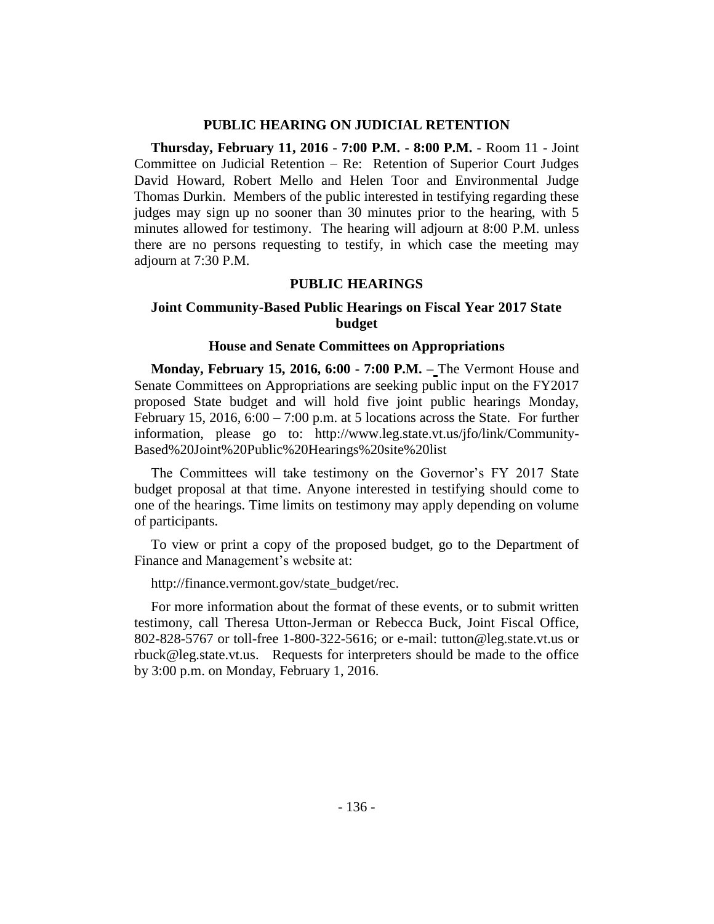## **PUBLIC HEARING ON JUDICIAL RETENTION**

**Thursday, February 11, 2016** - **7:00 P.M. - 8:00 P.M.** - Room 11 - Joint Committee on Judicial Retention – Re: Retention of Superior Court Judges David Howard, Robert Mello and Helen Toor and Environmental Judge Thomas Durkin. Members of the public interested in testifying regarding these judges may sign up no sooner than 30 minutes prior to the hearing, with 5 minutes allowed for testimony. The hearing will adjourn at 8:00 P.M. unless there are no persons requesting to testify, in which case the meeting may adjourn at 7:30 P.M.

## **PUBLIC HEARINGS**

## **Joint Community-Based Public Hearings on Fiscal Year 2017 State budget**

## **House and Senate Committees on Appropriations**

**Monday, February 15, 2016, 6:00 - 7:00 P.M. –** The Vermont House and Senate Committees on Appropriations are seeking public input on the FY2017 proposed State budget and will hold five joint public hearings Monday, February 15, 2016,  $6:00 - 7:00$  p.m. at 5 locations across the State. For further information, please go to: http://www.leg.state.vt.us/jfo/link/Community-Based%20Joint%20Public%20Hearings%20site%20list

The Committees will take testimony on the Governor's FY 2017 State budget proposal at that time. Anyone interested in testifying should come to one of the hearings. Time limits on testimony may apply depending on volume of participants.

To view or print a copy of the proposed budget, go to the Department of Finance and Management's website at:

http://finance.vermont.gov/state\_budget/rec.

For more information about the format of these events, or to submit written testimony, call Theresa Utton-Jerman or Rebecca Buck, Joint Fiscal Office, 802-828-5767 or toll-free 1-800-322-5616; or e-mail: tutton@leg.state.vt.us or rbuck@leg.state.vt.us. Requests for interpreters should be made to the office by 3:00 p.m. on Monday, February 1, 2016.